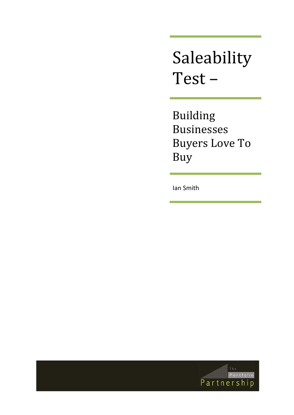Saleability Test –

Building Businesses Buyers Love To Buy

Ian Smith

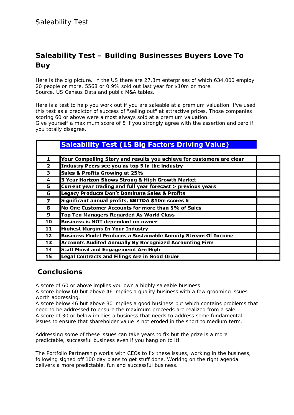## **Saleability Test – Building Businesses Buyers Love To Buy**

Here is the big picture. In the US there are 27.3m enterprises of which 634,000 employ 20 people or more. 5568 or 0.9% sold out last year for \$10m or more. Source, US Census Data and public M&A tables.

Here is a test to help you work out if you are saleable at a premium valuation. I've used this test as a predictor of success of "selling out" at attractive prices. Those companies scoring 60 or above were almost always sold at a premium valuation. Give yourself a maximum score of 5 if you strongly agree with the assertion and zero if you totally disagree.

|              | <b>Saleability Test (15 Big Factors Driving Value)</b>                |  |
|--------------|-----------------------------------------------------------------------|--|
|              |                                                                       |  |
| 1.           | Your Compelling Story and results you achieve for customers are clear |  |
| $\mathbf{2}$ | Industry Peers see you as top 5 in the industry                       |  |
| З.           | Sales & Profits Growing at 25%                                        |  |
| 4            | 3 Year Horizon Shows Strong & High Growth Market                      |  |
| 5.           | Current year trading and full year forecast > previous years          |  |
| 6            | <b>Legacy Products Don't Dominate Sales &amp; Profits</b>             |  |
| 7            | Significant annual profits, EBITDA \$10m scores 5                     |  |
| 8            | No One Customer Accounts for more than 5% of Sales                    |  |
| 9            | <b>Top Ten Managers Regarded As World Class</b>                       |  |
| 10           | <b>Business is NOT dependant on owner</b>                             |  |
| 11           | <b>Highest Margins In Your Industry</b>                               |  |
| 12           | <b>Business Model Produces a Sustainable Annuity Stream Of Income</b> |  |
| 13           | <b>Accounts Audited Annually By Recognized Accounting Firm</b>        |  |
| 14           | <b>Staff Moral and Engagememt Are High</b>                            |  |
| 15           | <b>Legal Contracts and Filings Are in Good Order</b>                  |  |

## **Conclusions**

A score of 60 or above implies you own a highly saleable business.

A score below 60 but above 46 implies a quality business with a few grooming issues worth addressing.

A score below 46 but above 30 implies a good business but which contains problems that need to be addressed to ensure the maximum proceeds are realized from a sale. A score of 30 or below implies a business that needs to address some fundamental issues to ensure that shareholder value is not eroded in the short to medium term.

Addressing some of these issues can take years to fix but the prize is a more predictable, successful business even if you hang on to it!

The Portfolio Partnership works with CEOs to fix these issues, working in the business, following signed off 100 day plans to get stuff done. Working on the right agenda delivers a more predictable, fun and successful business.